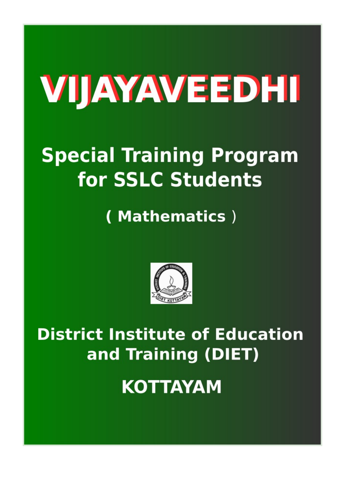# VIJAYAVEEDHI

## **Special Training Program** for SSLC Students

(Mathematics)



**District Institute of Education** and Training (DIET)

**KOTTAYAM**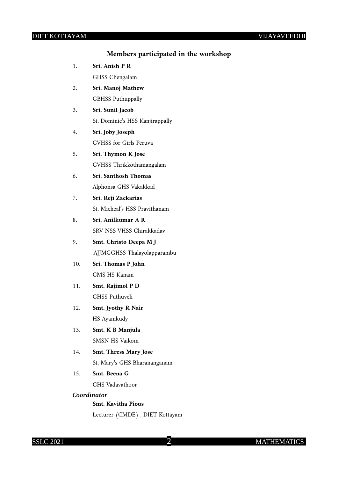#### **Members participated in the workshop**

| 1.          | Sri. Anish P R                  |
|-------------|---------------------------------|
|             | GHSS Chengalam                  |
| 2.          | Sri. Manoj Mathew               |
|             | <b>GBHSS Puthuppally</b>        |
| 3.          | Sri. Sunil Jacob                |
|             | St. Dominic's HSS Kanjirappally |
| 4.          | Sri. Joby Joseph                |
|             | GVHSS for Girls Peruva          |
| 5.          | Sri. Thymon K Jose              |
|             | GVHSS Thrikkothamangalam        |
| 6.          | Sri. Santhosh Thomas            |
|             | Alphonsa GHS Vakakkad           |
| 7.          | Sri. Reji Zackarias             |
|             | St. Micheal's HSS Pravithanam   |
| 8.          | Sri. Anilkumar A R              |
|             | SRV NSS VHSS Chirakkadav        |
| 9.          | Smt. Christo Deepa M J          |
|             | AJJMGGHSS Thalayolapparambu     |
| 10.         | Sri. Thomas P John              |
|             | CMS HS Kanam                    |
| 11.         | Smt. Rajimol P D                |
|             | <b>GHSS Puthuveli</b>           |
| 12.         | Smt. Jyothy R Nair              |
|             | HS Ayamkudy                     |
| 13.         | Smt. K B Manjula                |
|             | <b>SMSN HS Vaikom</b>           |
| 14.         | <b>Smt. Thress Mary Jose</b>    |
|             | St. Mary's GHS Bharananganam    |
| 15.         | Smt. Beena G                    |
|             | GHS Vadavathoor                 |
| Coordinator |                                 |
|             | <b>Smt. Kavitha Pious</b>       |
|             | Lecturer (CMDE) , DIET Kottayam |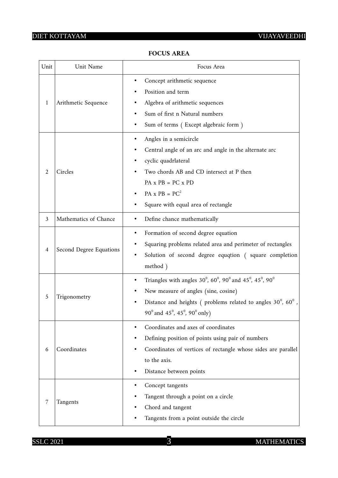$\overline{1}$ 

 $\overline{\phantom{0}}$ 

| Unit           | Unit Name               | Focus Area                                                                                                                                                                                                                                 |  |  |
|----------------|-------------------------|--------------------------------------------------------------------------------------------------------------------------------------------------------------------------------------------------------------------------------------------|--|--|
| 1              | Arithmetic Sequence     | Concept arithmetic sequence<br>Position and term<br>Algebra of arithmetic sequences<br>Sum of first n Natural numbers<br>Sum of terms (Except algebraic form)                                                                              |  |  |
| 2              | Circles                 | Angles in a semicircle<br>Central angle of an arc and angle in the alternate arc<br>cyclic quadrlateral<br>Two chords AB and CD intersect at P then<br>$PA x PB = PC x PD$<br>$PA \times PB = PC^2$<br>Square with equal area of rectangle |  |  |
| $\mathfrak{Z}$ | Mathematics of Chance   | Define chance mathematically                                                                                                                                                                                                               |  |  |
| $\overline{4}$ | Second Degree Equations | Formation of second degree equation<br>Squaring problems related area and perimeter of rectangles<br>Solution of second degree equqtion (square completion<br>method)                                                                      |  |  |
| 5              | Trigonometry            | Triangles with angles 30°, 60°, 90° and 45°, 45°, 90°<br>٠<br>New measure of angles (sine, cosine)<br>Distance and heights (problems related to angles $30^{\circ}$ , $60^{\circ}$ ,<br>90° and 45°, 45°, 90° only)                        |  |  |
| 6              | Coordinates             | Coordinates and axes of coordinates<br>Defining position of points using pair of numbers<br>Coordinates of vertices of rectangle whose sides are parallel<br>to the axis.<br>Distance between points                                       |  |  |
| 7              | Tangents                | Concept tangents<br>Tangent through a point on a circle<br>Chord and tangent<br>Tangents from a point outside the circle                                                                                                                   |  |  |

#### **FOCUS AREA**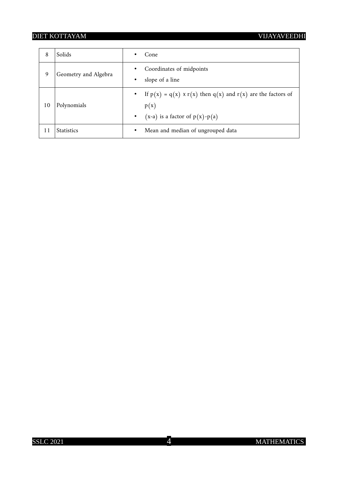| 8  | Solids               | Cone<br>٠                                                                                                                           |
|----|----------------------|-------------------------------------------------------------------------------------------------------------------------------------|
| 9  | Geometry and Algebra | Coordinates of midpoints<br>$\bullet$<br>slope of a line<br>$\bullet$                                                               |
| 10 | Polynomials          | • If $p(x) = q(x) \times r(x)$ then $q(x)$ and $r(x)$ are the factors of<br>p(x)<br>$(x-a)$ is a factor of $p(x)-p(a)$<br>$\bullet$ |
| 11 | <b>Statistics</b>    | Mean and median of ungrouped data<br>$\bullet$                                                                                      |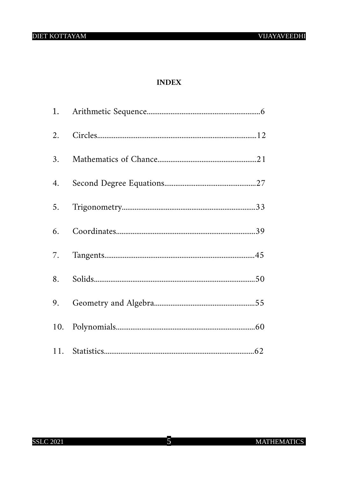#### **INDEX**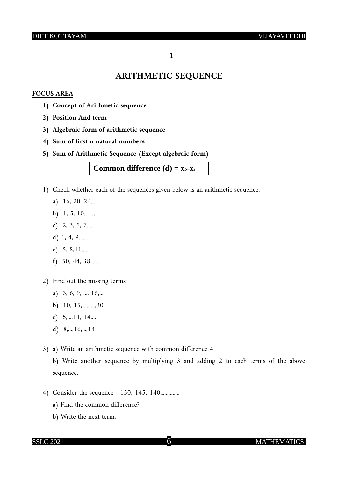## **1**

#### **ARITHMETIC SEQUENCE**

#### **FOCUS AREA**

- **1) Concept of Arithmetic sequence**
- **2) Position And term**
- **3) Algebraic form of arithmetic sequence**
- **4) Sum of first n natural numbers**
- **5) Sum of Arithmetic Sequence (Except algebraic form)**

#### **Common difference (d) =**  $x_2$ **<b>-x**<sup>1</sup>

- 1) Check whether each of the sequences given below is an arithmetic sequence.
	- a) 16, 20, 24.....
	- b) 1, 5, 10……
	- c) 2, 3, 5, 7....
	- d) 1, 4, 9......
	- e) 5, 8,11......
	- f) 50, 44, 38..…
- 2) Find out the missing terms
	- a) 3, 6, 9, ..., 15,...
	- b) 10, 15, ...,....,30
	- c) 5,...,11, 14,...
	- d) 8,...,16,...,14
- 3) a) Write an arithmetic sequence with common difference 4

b) Write another sequence by multiplying 3 and adding 2 to each terms of the above sequence.

- 4) Consider the sequence 150,-145,-140...............
	- a) Find the common difference?
	- b) Write the next term.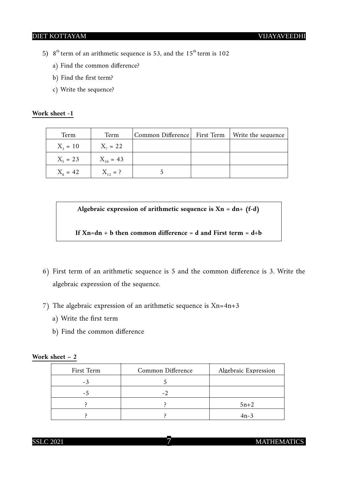- 5)  $8<sup>th</sup>$  term of an arithmetic sequence is 53, and the  $15<sup>th</sup>$  term is 102
	- a) Find the common difference?
	- b) Find the first term?
	- c) Write the sequence?

#### **Work sheet -1**

| Term             | Term          | Common Difference First Term | Write the sequence |
|------------------|---------------|------------------------------|--------------------|
| $X_2 = 10$       | $X_{7} = 22$  |                              |                    |
| $X_5 = 23$       | $X_{10} = 43$ |                              |                    |
| $X_{\rm s} = 42$ | $X_{12} = ?$  |                              |                    |

**Algebraic expression of arithmetic sequence is Xn = dn+ (f-d)**

**If Xn=dn + b then common difference = d and First term = d+b**

- 6) First term of an arithmetic sequence is 5 and the common difference is 3. Write the algebraic expression of the sequence.
- 7) The algebraic expression of an arithmetic sequence is Xn=4n+3
	- a) Write the first term
	- b) Find the common difference

#### **Work sheet – 2**

| First Term | Common Difference        | Algebraic Expression |
|------------|--------------------------|----------------------|
| $-3$       |                          |                      |
| - 7        | $\overline{\phantom{a}}$ |                      |
|            |                          | $5n+2$               |
|            |                          | $4n-3$               |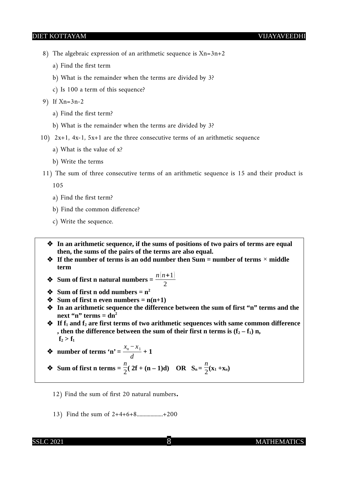- 8) The algebraic expression of an arithmetic sequence is Xn=3n+2
	- a) Find the first term
	- b) What is the remainder when the terms are divided by 3?
	- c) Is 100 a term of this sequence?
- 9) If Xn=3n-2
	- a) Find the first term?
	- b) What is the remainder when the terms are divided by 3?
- 10) 2x+1, 4x-1, 5x+1 are the three consecutive terms of an arithmetic sequence
	- a) What is the value of x?
	- b) Write the terms
- 11) The sum of three consecutive terms of an arithmetic sequence is 15 and their product is

105

- a) Find the first term?
- b) Find the common difference?
- c) Write the sequence.

 **In an arithmetic sequence, if the sums of positions of two pairs of terms are equal then, the sums of the pairs of the terms are also equal.** 

- **If the number of terms is an odd number then Sum = number of terms** *×* **middle term**
- ◆ Sum of first n natural numbers =  $\frac{n(n+1)}{2}$
- $\div$  Sum of first n odd numbers =  $n^2$
- $\bullet$  Sum of first n even numbers =  $n(n+1)$
- **In an arithmetic sequence the difference between the sum of first "n" terms and the**  next "n" terms  $=$  dn<sup>2</sup>
- ◆ If  $f_1$  and  $f_2$  are first terms of two arithmetic sequences with same common difference , then the difference between the sum of their first n terms is  $(f_2 - f_1)$  n,  $f_2 > f_1$

• number of terms 'n' = 
$$
\frac{x_n - x_1}{d} + 1
$$

◆ Sum of first n terms =  $\frac{n}{2}$ ( 2f + (n – 1)d) OR S<sub>n</sub> =  $\frac{n}{2}$  $\frac{n}{2}$ (**x**<sub>1</sub> +**x**<sub>n</sub>)

- 12) Find the sum of first 20 natural numbers.
- 13) Find the sum of 2+4+6+8...................+200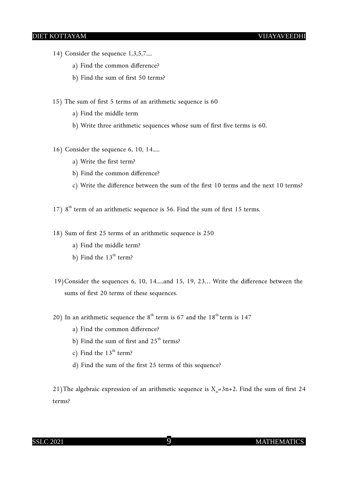- 14) Consider the sequence 1,3,5,7....
	- a) Find the common difference?
	- b) Find the sum of first 50 terms?
- 15) The sum of first 5 terms of an arithmetic sequence is 60
	- a) Find the middle term
	- b) Write three arithmetic sequences whose sum of first five terms is 60.
- 16) Consider the sequence 6, 10, 14.....
	- a) Write the first term?
	- b) Find the common difference?
	- c) Write the difference between the sum of the first 10 terms and the next 10 terms?
- 17)  $8<sup>th</sup>$  term of an arithmetic sequence is 56. Find the sum of first 15 terms.
- 18) Sum of first 25 terms of an arithmetic sequence is 250
	- a) Find the middle term?
	- b) Find the  $13<sup>th</sup>$  term?
- 19)Consider the sequences 6, 10, 14.....and 15, 19, 23… Write the difference between the sums of first 20 terms of these sequences.
- 20) In an arithmetic sequence the  $8<sup>th</sup>$  term is 67 and the 18<sup>th</sup> term is 147
	- a) Find the common difference?
	- b) Find the sum of first and  $25<sup>th</sup>$  terms?
	- c) Find the  $13<sup>th</sup>$  term?
	- d) Find the sum of the first 25 terms of this sequence?

21) The algebraic expression of an arithmetic sequence is  $X_n=3n+2$ . Find the sum of first 24 terms?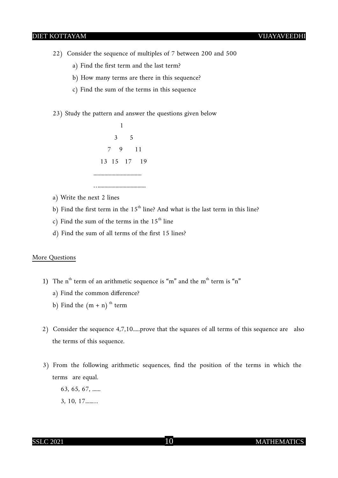- 22) Consider the sequence of multiples of 7 between 200 and 500
	- a) Find the first term and the last term?
	- b) How many terms are there in this sequence?
	- c) Find the sum of the terms in this sequence
- 23) Study the pattern and answer the questions given below



- a) Write the next 2 lines
- b) Find the first term in the  $15<sup>th</sup>$  line? And what is the last term in this line?
- c) Find the sum of the terms in the  $15<sup>th</sup>$  line
- d) Find the sum of all terms of the first 15 lines?

#### More Questions

- 1) The  $n<sup>th</sup>$  term of an arithmetic sequence is "m" and the m<sup>th</sup> term is "n"
	- a) Find the common difference?
	- b) Find the  $(m + n)$ <sup>th</sup> term
- 2) Consider the sequence 4,7,10.....prove that the squares of all terms of this sequence are also the terms of this sequence.
- 3) From the following arithmetic sequences, find the position of the terms in which the terms are equal.
	- 63, 65, 67, ...... 3, 10, 17.....…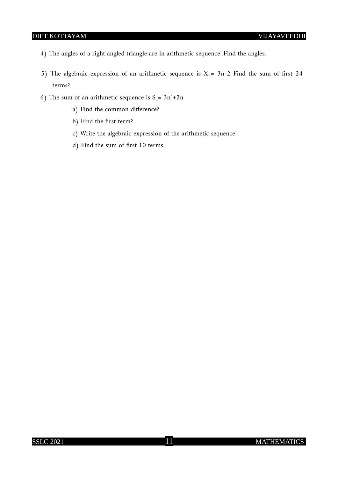- 4) The angles of a right angled triangle are in arithmetic sequence .Find the angles.
- 5) The algebraic expression of an arithmetic sequence is  $X_n$ = 3n-2 Find the sum of first 24 terms?
- 6) The sum of an arithmetic sequence is  $S_n = 3n^2 + 2n$ 
	- a) Find the common difference?
	- b) Find the first term?
	- c) Write the algebraic expression of the arithmetic sequence
	- d) Find the sum of first 10 terms.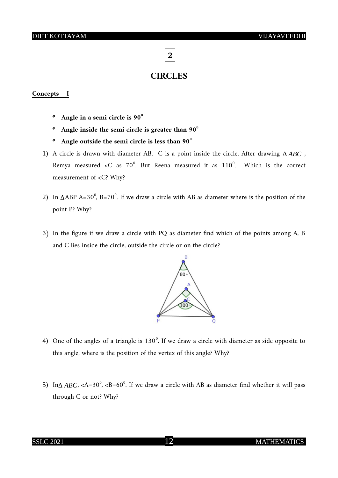**2**

#### **CIRCLES**

#### **Concepts – I**

- **\* Angle in a semi circle is 90<sup>0</sup>**
- **\* Angle inside the semi circle is greater than 90<sup>0</sup>**
- **\* Angle outside the semi circle is less than 90<sup>0</sup>**
- 1) A circle is drawn with diameter AB. C is a point inside the circle. After drawing *∆ ABC* , Remya measured < C as  $70^{\circ}$ . But Reena measured it as  $110^{\circ}$ . Which is the correct measurement of <C? Why?
- 2) In *∆ABP A=30<sup>°</sup>*, *B=70<sup>°</sup>*. If we draw a circle with *AB* as diameter where is the position of the point P? Why?
- 3) In the figure if we draw a circle with PQ as diameter find which of the points among A, B and C lies inside the circle, outside the circle or on the circle?



- 4) One of the angles of a triangle is  $130^{\circ}$ . If we draw a circle with diameter as side opposite to this angle, where is the position of the vertex of this angle? Why?
- 5) In∆ *ABC*, <A=30<sup>°</sup>, <B=60<sup>°</sup>. If we draw a circle with AB as diameter find whether it will pass through C or not? Why?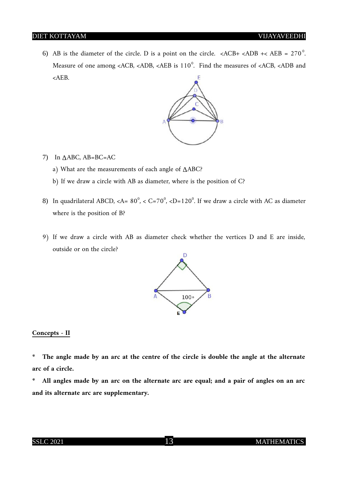6) AB is the diameter of the circle. D is a point on the circle.  $\langle ACB+ \langle ADB + \langle AEB = 270^\circ A \rangle$ . Measure of one among <ACB, <ADB, <AEB is  $110^{\circ}$ . Find the measures of <ACB, <ADB and <AEB. F



- 7) In *∆*ABC, AB=BC=AC
	- a) What are the measurements of each angle of *∆*ABC?
	- b) If we draw a circle with AB as diameter, where is the position of C?
- 8) In quadrilateral ABCD, <A=  $80^{\circ}$ , < C=70 $^{\circ}$ , <D=120 $^{\circ}$ . If we draw a circle with AC as diameter where is the position of B?
- 9) If we draw a circle with AB as diameter check whether the vertices D and E are inside, outside or on the circle?



#### **Concepts - II**

- **\* The angle made by an arc at the centre of the circle is double the angle at the alternate arc of a circle.**
- **\* All angles made by an arc on the alternate arc are equal; and a pair of angles on an arc and its alternate arc are supplementary.**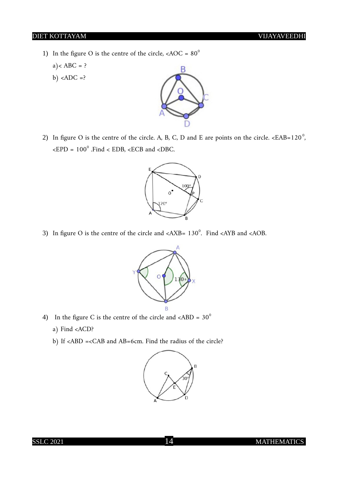1) In the figure O is the centre of the circle,  $\langle AOC = 80^\circ$ 

 $a$  < ABC = ?

b)  $\langle ADC = ?$ 



2) In figure O is the centre of the circle. A, B, C, D and E are points on the circle.  $\epsilon$ EAB=120<sup>0</sup>, ,  $\epsilon$ EPD = 100<sup>°</sup> .Find  $\epsilon$  EDB,  $\epsilon$ ECB and  $\epsilon$ DBC.



3) In figure O is the centre of the circle and  $\langle AXB= 130^\circ$ . Find  $\langle AYB \rangle$  and  $\langle AOB \rangle$ .



- 4) In the figure C is the centre of the circle and  $\langle ABD = 30^\circ$ 
	- a) Find <ACD?
	- b) If <ABD =<CAB and AB=6cm. Find the radius of the circle?

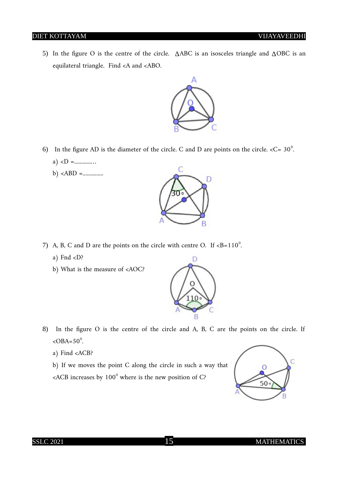5) In the figure O is the centre of the circle. *∆*ABC is an isosceles triangle and *∆*OBC is an equilateral triangle. Find <A and <ABO.



- 6) In the figure AD is the diameter of the circle. C and D are points on the circle.  $\langle C = 30^\circ$ .
	- a) <D =............…
	- b) <ABD =...............



- 7) A, B, C and D are the points on the circle with centre O. If  $>B=110^{\circ}$ .
	- a) Fnd  $<$ D?
	- b) What is the measure of <AOC?



- 8) In the figure O is the centre of the circle and A, B, C are the points on the circle. If  $<$ OBA=50<sup>°</sup>.
	- a) Find <ACB?
	- b) If we moves the point C along the circle in such a way that

 $\epsilon$ ACB increases by 100 $^{\circ}$  where is the new position of C?



#### SSLC 2021 15 MATHEMATICS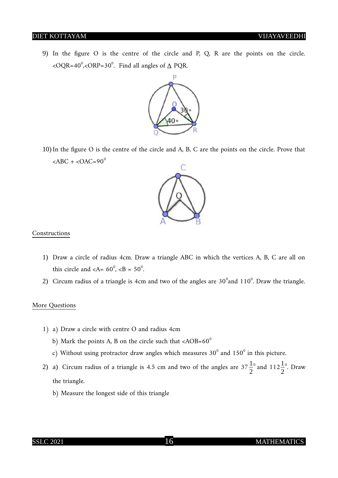9) In the figure O is the centre of the circle and P, Q, R are the points on the circle. <OQR=40<sup>0</sup> ,<ORP=30<sup>0</sup> . Find all angles of *∆* PQR.



10) In the figure O is the centre of the circle and A, B, C are the points on the circle. Prove that  $<$ ABC +  $<$ OAC=90<sup>0</sup>



#### Constructions

- 1) Draw a circle of radius 4cm. Draw a triangle ABC in which the vertices A, B, C are all on this circle and  $\langle A = 60^\circ, \langle B = 50^\circ \rangle$ .
- 2) Circum radius of a triangle is 4cm and two of the angles are  $30^{\circ}$ and  $110^{\circ}$ . Draw the triangle.

#### More Questions

- 1) a) Draw a circle with centre O and radius 4cm
	- b) Mark the points A, B on the circle such that  $\langle AOB = 60^\circ$
	- c) Without using protractor draw angles which measures 30 $^{\rm o}$  and 150 $^{\rm o}$  in this picture.
- 2) a) Circum radius of a triangle is 4.5 cm and two of the angles are  $37\frac{1}{2}$ <sup>0</sup> and  $112\frac{1}{2}$  $\degree$ . Draw the triangle.
	- b) Measure the longest side of this triangle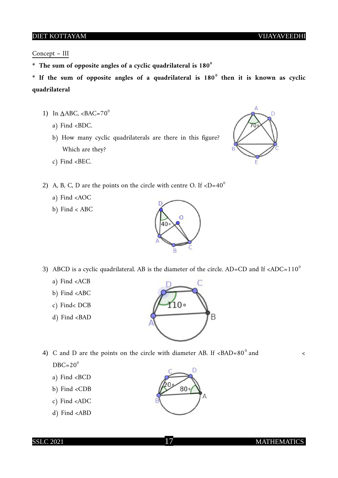Concept – III

- **\* The sum of opposite angles of a cyclic quadrilateral is 180<sup>0</sup>**
- **\* If the sum of opposite angles of a quadrilateral is 180<sup>0</sup> then it is known as cyclic quadrilateral**
	- 1) In  $\triangle$ ABC, <BAC=70<sup>0</sup>
		- a) Find <BDC.
		- b) How many cyclic quadrilaterals are there in this figure? Which are they?
		- c) Find <BEC.



- 2) A, B, C, D are the points on the circle with centre O. If  $\langle D=40^\circ$ 
	- a) Find <AOC
	- b) Find < ABC



3) ABCD is a cyclic quadrilateral. AB is the diameter of the circle. AD=CD and If <ADC=110<sup>0</sup>

 $10<sup>°</sup>$ 

C

B

- a) Find <ACB
- b) Find <ABC
- c) Find< DCB
- d) Find <BAD

4) C and D are the points on the circle with diameter AB. If  $\langle BAD=80^\circ \text{ and } \rangle$  $DBC=20^{\circ}$ 

- a) Find <BCD
- b) Find <CDB
- c) Find <ADC
- d) Find <ABD

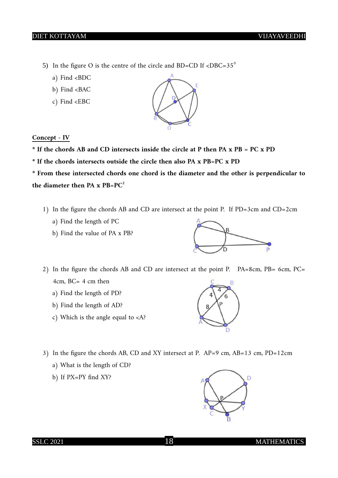- 5) In the figure O is the centre of the circle and BD=CD If  $\langle DBC=35^\circ$ 
	- a) Find <BDC
	- b) Find <BAC
	- c) Find <EBC

#### **Concept - IV**

- **\* If the chords AB and CD intersects inside the circle at P then PA x PB = PC x PD**
- **\* If the chords intersects outside the circle then also PA x PB=PC x PD**

**\* From these intersected chords one chord is the diameter and the other is perpendicular to** the diameter then  $PA \times PB = PC^2$ 

- 1) In the figure the chords AB and CD are intersect at the point P. If PD=3cm and CD=2cm
	- a) Find the length of PC
	- b) Find the value of PA x PB?



- a) Find the length of PD?
- b) Find the length of AD?
- c) Which is the angle equal to <A?



- 3) In the figure the chords AB, CD and XY intersect at P. AP=9 cm, AB=13 cm, PD=12cm
	- a) What is the length of CD?
	- b) If PX=PY find XY?



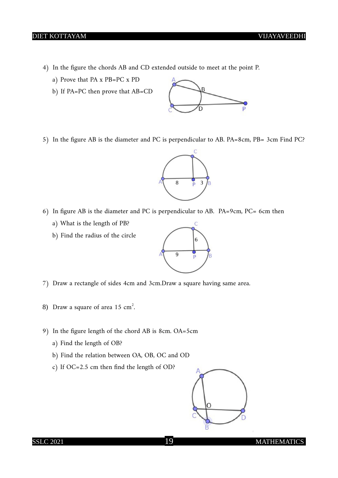- 4) In the figure the chords AB and CD extended outside to meet at the point P.
	- a) Prove that PA x PB=PC x PD
	- b) If PA=PC then prove that AB=CD



5) In the figure AB is the diameter and PC is perpendicular to AB. PA=8cm, PB= 3cm Find PC?



- 6) In figure AB is the diameter and PC is perpendicular to AB. PA=9cm, PC= 6cm then
	- a) What is the length of PB?
	- b) Find the radius of the circle



- 7) Draw a rectangle of sides 4cm and 3cm.Draw a square having same area.
- 8) Draw a square of area  $15 \text{ cm}^2$ .
- 9) In the figure length of the chord AB is 8cm. OA=5cm
	- a) Find the length of OB?
	- b) Find the relation between OA, OB, OC and OD
	- c) If OC=2.5 cm then find the length of OD?

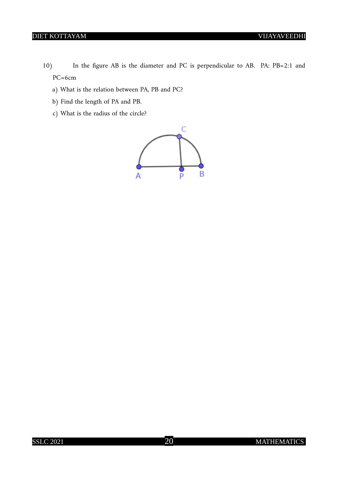- 10) In the figure AB is the diameter and PC is perpendicular to AB. PA: PB=2:1 and PC=6cm
	- a) What is the relation between PA, PB and PC?
	- b) Find the length of PA and PB.
	- c) What is the radius of the circle?

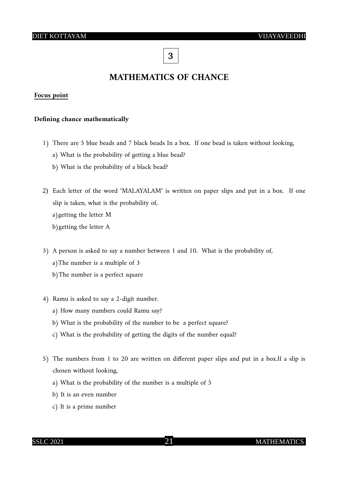**3**

## **MATHEMATICS OF CHANCE**

#### **Focus point**

#### **Defining chance mathematically**

- 1) There are 5 blue beads and 7 black beads In a box. If one bead is taken without looking,
	- a) What is the probability of getting a blue bead?
	- b) What is the probability of a black bead?
- 2) Each letter of the word 'MALAYALAM' is written on paper slips and put in a box. If one slip is taken, what is the probability of, a)getting the letter M b)getting the letter A
- 3) A person is asked to say a number between 1 and 10. What is the probability of, a)The number is a multiple of 3 b)The number is a perfect square
- 4) Ramu is asked to say a 2-digit number.
	- a) How many numbers could Ramu say?
	- b) What is the probability of the number to be a perfect square?
	- c) What is the probability of getting the digits of the number equal?
- 5) The numbers from 1 to 20 are written on different paper slips and put in a box.If a slip is chosen without looking,
	- a) What is the probability of the number is a multiple of 5
	- b) It is an even number
	- c) It is a prime number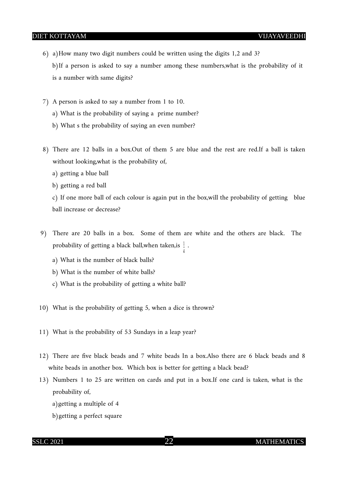- 6) a)How many two digit numbers could be written using the digits 1,2 and 3? b)If a person is asked to say a number among these numbers,what is the probability of it is a number with same digits?
- 7) A person is asked to say a number from 1 to 10.
	- a) What is the probability of saying a prime number?
	- b) What s the probability of saying an even number?
- 8) There are 12 balls in a box.Out of them 5 are blue and the rest are red.If a ball is taken without looking,what is the probability of,
	- a) getting a blue ball
	- b) getting a red ball

c) If one more ball of each colour is again put in the box,will the probability of getting blue ball increase or decrease?

4

- 9) There are 20 balls in a box. Some of them are white and the others are black. The probability of getting a black ball,when taken,is  $\frac{1}{2}$  .
	- a) What is the number of black balls?
	- b) What is the number of white balls?
	- c) What is the probability of getting a white ball?
- 10) What is the probability of getting 5, when a dice is thrown?
- 11) What is the probability of 53 Sundays in a leap year?
- 12) There are five black beads and 7 white beads In a box.Also there are 6 black beads and 8 white beads in another box. Which box is better for getting a black bead?
- 13) Numbers 1 to 25 are written on cards and put in a box.If one card is taken, what is the probability of,
	- a)getting a multiple of 4
	- b)getting a perfect square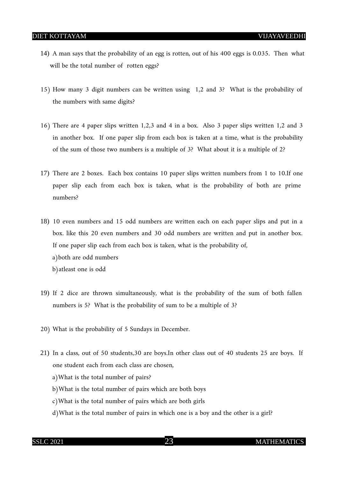- 14) A man says that the probability of an egg is rotten, out of his 400 eggs is 0.035. Then what will be the total number of rotten eggs?
- 15) How many 3 digit numbers can be written using 1,2 and 3? What is the probability of the numbers with same digits?
- 16) There are 4 paper slips written 1,2,3 and 4 in a box. Also 3 paper slips written 1,2 and 3 in another box. If one paper slip from each box is taken at a time, what is the probability of the sum of those two numbers is a multiple of 3? What about it is a multiple of 2?
- 17) There are 2 boxes. Each box contains 10 paper slips written numbers from 1 to 10.If one paper slip each from each box is taken, what is the probability of both are prime numbers?
- 18) 10 even numbers and 15 odd numbers are written each on each paper slips and put in a box. like this 20 even numbers and 30 odd numbers are written and put in another box. If one paper slip each from each box is taken, what is the probability of, a)both are odd numbers b)atleast one is odd
- 19) If 2 dice are thrown simultaneously, what is the probability of the sum of both fallen numbers is 5? What is the probability of sum to be a multiple of 3?
- 20) What is the probability of 5 Sundays in December.
- 21) In a class, out of 50 students,30 are boys.In other class out of 40 students 25 are boys. If one student each from each class are chosen,
	- a)What is the total number of pairs?
	- b)What is the total number of pairs which are both boys
	- c)What is the total number of pairs which are both girls
	- d)What is the total number of pairs in which one is a boy and the other is a girl?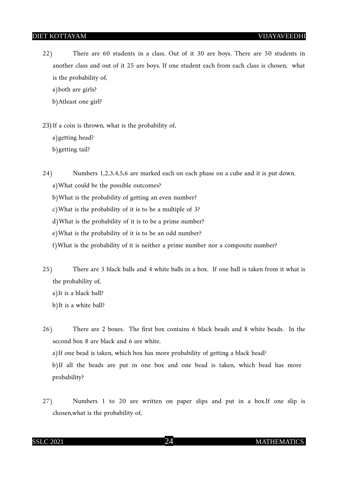22) There are 60 students in a class. Out of it 30 are boys. There are 50 students in another class and out of it 25 are boys. If one student each from each class is chosen, what is the probability of,

a)both are girls?

b)Atleast one girl?

23) If a coin is thrown, what is the probability of,

a)getting head?

b)getting tail?

24) Numbers 1,2,3,4,5,6 are marked each on each phase on a cube and it is put down.

a)What could be the possible outcomes?

b)What is the probability of getting an even number?

c)What is the probability of it is to be a multiple of 3?

d)What is the probability of it is to be a prime number?

e)What is the probability of it is to be an odd number?

f)What is the probability of it is neither a prime number nor a composite number?

25) There are 3 black balls and 4 white balls in a box. If one ball is taken from it what is the probability of,

a)It is a black ball?

b)It is a white ball?

26) There are 2 boxes. The first box contains 6 black beads and 8 white beads. In the second box 8 are black and 6 are white.

a)If one bead is taken, which box has more probability of getting a black bead?

b)If all the beads are put in one box and one bead is taken, which bead has more probability?

27) Numbers 1 to 20 are written on paper slips and put in a box.If one slip is chosen,what is the probability of,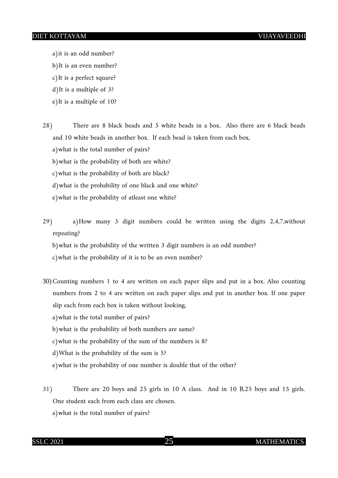- a)it is an odd number?
- b)It is an even number?
- c)It is a perfect square?
- d)It is a multiple of 3?
- e)It is a multiple of 10?
- 28) There are 8 black beads and 5 white beads in a box. Also there are 6 black beads and 10 white beads in another box. If each bead is taken from each box,
	- a)what is the total number of pairs?
	- b)what is the probability of both are white?
	- c)what is the probability of both are black?
	- d)what is the probability of one black and one white?
	- e)what is the probability of atleast one white?
- 29) a)How many 3 digit numbers could be written using the digits 2,4,7,without repeating?
	- b)what is the probability of the written 3 digit numbers is an odd number?
	- c)what is the probability of it is to be an even number?
- 30) Counting numbers 1 to 4 are written on each paper slips and put in a box. Also counting numbers from 2 to 4 are written on each paper slips and put in another box. If one paper slip each from each box is taken without looking,
	- a)what is the total number of pairs?
	- b)what is the probability of both numbers are same?
	- c)what is the probability of the sum of the numbers is 8?
	- d)What is the probability of the sum is 5?
	- e)what is the probability of one number is double that of the other?
- 31) There are 20 boys and 25 girls in 10 A class. And in 10 B,25 boys and 15 girls. One student each from each class are chosen.
	- a)what is the total number of pairs?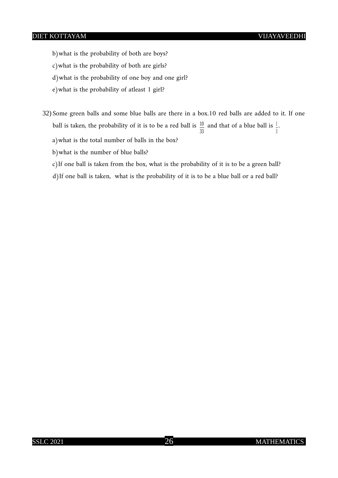b)what is the probability of both are boys?

c)what is the probability of both are girls?

d)what is the probability of one boy and one girl?

e)what is the probability of atleast 1 girl?

32) Some green balls and some blue balls are there in a box.10 red balls are added to it. If one ball is taken, the probability of it is to be a red ball is  $\frac{10}{33}$  and that of a blue ball is  $\frac{1}{3}$ .

a)what is the total number of balls in the box?

b)what is the number of blue balls?

c)If one ball is taken from the box, what is the probability of it is to be a green ball?

d)If one ball is taken, what is the probability of it is to be a blue ball or a red ball?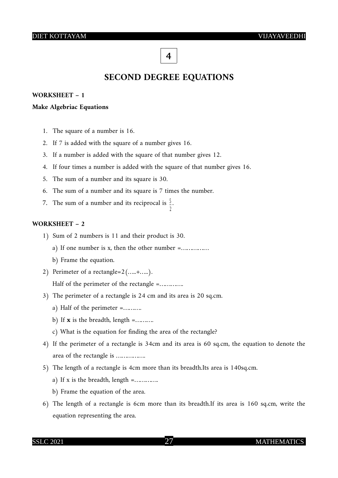## **4**

## **SECOND DEGREE EQUATIONS**

#### **WORKSHEET – 1**

#### **Make Algebriac Equations**

- 1. The square of a number is 16.
- 2. If 7 is added with the square of a number gives 16.
- 3. If a number is added with the square of that number gives 12.
- 4. If four times a number is added with the square of that number gives 16.
- 5. The sum of a number and its square is 30.
- 6. The sum of a number and its square is 7 times the number.
- 7. The sum of a number and its reciprocal is  $\frac{5}{2}$ .

#### **WORKSHEET – 2**

- 1) Sum of 2 numbers is 11 and their product is 30.
	- a) If one number is x, then the other number =……………
	- b) Frame the equation.
- 2) Perimeter of a rectangle= $2$ (.....+.....). Half of the perimeter of the rectangle =............
- 3) The perimeter of a rectangle is 24 cm and its area is 20 sq.cm.
	- a) Half of the perimeter =……….
	- b) If  $\bf{x}$  is the breadth, length =.........
	- c) What is the equation for finding the area of the rectangle?
- 4) If the perimeter of a rectangle is 34cm and its area is 60 sq.cm, the equation to denote the area of the rectangle is …………….
- 5) The length of a rectangle is 4cm more than its breadth.Its area is 140sq.cm.
	- a) If x is the breadth, length  $=$ .............
	- b) Frame the equation of the area.
- 6) The length of a rectangle is 6cm more than its breadth.If its area is 160 sq.cm, write the equation representing the area.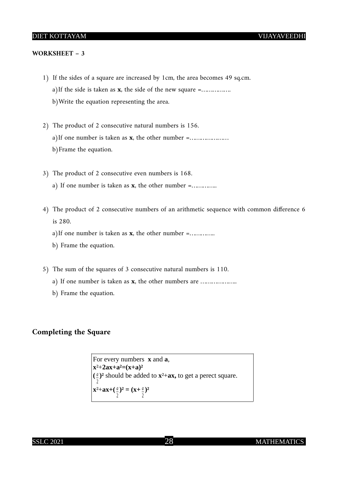#### **WORKSHEET – 3**

- 1) If the sides of a square are increased by 1cm, the area becomes 49 sq.cm. a)If the side is taken as **x**, the side of the new square =……………. b)Write the equation representing the area.
- 2) The product of 2 consecutive natural numbers is 156. a)If one number is taken as **x**, the other number =………………… b)Frame the equation.
- 3) The product of 2 consecutive even numbers is 168. a) If one number is taken as **x**, the other number =…………..
- 4) The product of 2 consecutive numbers of an arithmetic sequence with common difference 6 is 280.
	- a)If one number is taken as **x**, the other number =…………..
	- b) Frame the equation.
- 5) The sum of the squares of 3 consecutive natural numbers is 110.
	- a) If one number is taken as **x**, the other numbers are ………………..
	- b) Frame the equation.

#### **Completing the Square**

For every numbers **x** and **a**, **x**²+**2ax+a²=(x+a)²**  $(\frac{a}{2})^2$  should be added to  $x^2$ +ax, to get a perect square. 2  $x^2$ +**ax**+( $\frac{a}{2}$ 2  $)^{2} = (x + \frac{a}{x})$ 2 **)²**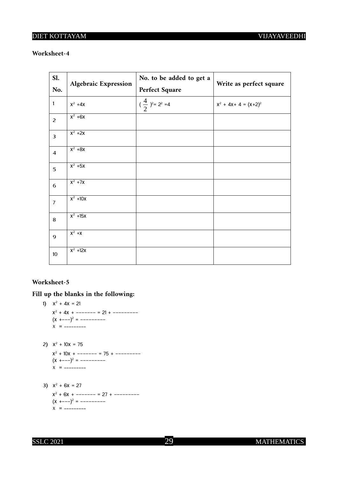#### **Worksheet-4**

| Sl.                     | <b>Algebraic Expression</b> | No. to be added to get a               |                            |
|-------------------------|-----------------------------|----------------------------------------|----------------------------|
| No.                     |                             | <b>Perfect Square</b>                  | Write as perfect square    |
| $\mathbf{1}$            | $X^2$ +4 $X$                | $(\frac{4}{2})^2$ = 2 <sup>2</sup> = 4 | $X^2$ + 4x + 4 = $(X+2)^2$ |
| $\overline{c}$          | $x^2 + 6x$                  |                                        |                            |
| $\overline{\mathbf{3}}$ | $x^2 + 2x$                  |                                        |                            |
| $\overline{4}$          | $x^2 + 8x$                  |                                        |                            |
| 5                       | $x^2 + 5x$                  |                                        |                            |
| $\sqrt{6}$              | $X^2$ +7x                   |                                        |                            |
| $\overline{7}$          | $x^2 + 10x$                 |                                        |                            |
| 8                       | $x^2$ +15x                  |                                        |                            |
| 9                       | $X^2 + X$                   |                                        |                            |
| 10                      | $x^2$ +12x                  |                                        |                            |

#### **Worksheet-5**

**Fill up the blanks in the following:**

1)  $x^2 + 4x = 21$  $x^2$  + 4x + ------- = 21 + --------- $(x +--)^2 = --- --- -- X =$  ---------

- 2)  $x^2 + 10x = 75$  $x^2$  + 10x + ------- = 75 + --------- $(x +--)^2 = --- --- - x =$  ---------
- 3)  $x^2 + 6x = 27$  $x^2$  + 6x + ------- = 27 + --------- $(x +--)^2 = --- --- - x =$  ---------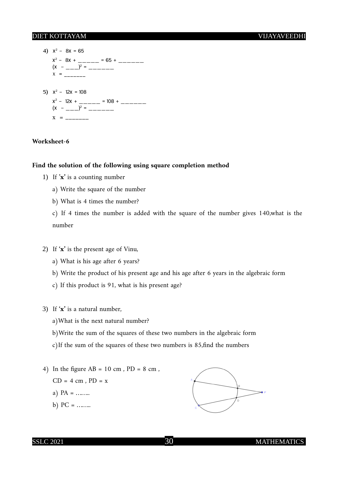4)  $x^2 - 8x = 65$  $x^2 - 8x + \_ \_ \_ \_ \$  = 65 +  $\_ \_ \_ \_ \_ \_$  $(x - \frac{1}{2})^2 = \frac{1}{2}$  $x =$  \_\_\_\_\_\_\_\_ 5)  $x^2 - 12x = 108$  $x^2 - 12x + \underbrace{\qquad \qquad}_{\qquad \qquad} = 108 + \underbrace{\qquad \qquad}_{\qquad \qquad}$  $(x - \frac{1}{2})^2 = \frac{1}{2}$  $x =$  \_\_\_\_\_\_\_\_

#### **Worksheet-6**

#### **Find the solution of the following using square completion method**

- 1) If '**x'** is a counting number
	- a) Write the square of the number
	- b) What is 4 times the number?

c) If 4 times the number is added with the square of the number gives 140,what is the number

- 2) If '**x'** is the present age of Vinu,
	- a) What is his age after 6 years?
	- b) Write the product of his present age and his age after 6 years in the algebraic form
	- c) If this product is 91, what is his present age?
- 3) If '**x'** is a natural number,
	- a)What is the next natural number?
	- b)Write the sum of the squares of these two numbers in the algebraic form
	- c)If the sum of the squares of these two numbers is 85,find the numbers
- 4) In the figure  $AB = 10$  cm,  $PD = 8$  cm,
	- $CD = 4 cm$ ,  $PD = x$
	- a)  $PA =$  ……...
	- b)  $PC =$  ……...

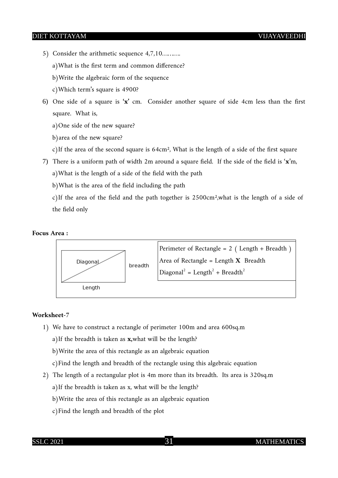- 5) Consider the arithmetic sequence 4,7,10……….
	- a)What is the first term and common difference?
	- b)Write the algebraic form of the sequence
	- c)Which term's square is 4900?
- 6) One side of a square is **'x'** cm. Consider another square of side 4cm less than the first square. What is,
	- a)One side of the new square?
	- b)area of the new square?
	- c)If the area of the second square is  $64 \text{cm}^2$ , What is the length of a side of the first square
- 7) There is a uniform path of width 2m around a square field. If the side of the field is '**x**'m, a)What is the length of a side of the field with the path
	- b)What is the area of the field including the path
	- c)If the area of the field and the path together is 2500cm²,what is the length of a side of the field only

#### **Focus Area :**



#### **Worksheet-7**

1) We have to construct a rectangle of perimeter 100m and area 600sq.m

a)If the breadth is taken as **x,**what will be the length?

b)Write the area of this rectangle as an algebraic equation

c)Find the length and breadth of the rectangle using this algebraic equation

- 2) The length of a rectangular plot is 4m more than its breadth. Its area is 320sq.m a)If the breadth is taken as x, what will be the length?
	- b)Write the area of this rectangle as an algebraic equation
	- c)Find the length and breadth of the plot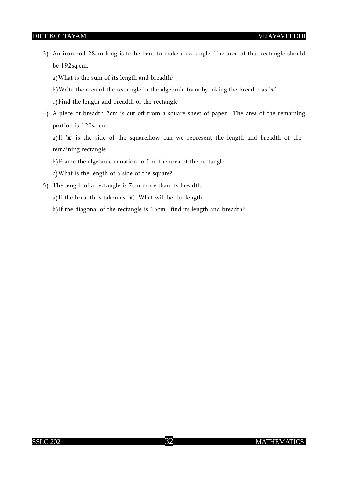3) An iron rod 28cm long is to be bent to make a rectangle. The area of that rectangle should be 192sq.cm.

a)What is the sum of its length and breadth?

- b)Write the area of the rectangle in the algebraic form by taking the breadth as '**x'**
- c)Find the length and breadth of the rectangle
- 4) A piece of breadth 2cm is cut off from a square sheet of paper. The area of the remaining portion is 120sq.cm

a)If '**x**' is the side of the square,how can we represent the length and breadth of the remaining rectangle

b)Frame the algebraic equation to find the area of the rectangle

c)What is the length of a side of the square?

5) The length of a rectangle is 7cm more than its breadth.

a)If the breadth is taken as '**x**', What will be the length

b)If the diagonal of the rectangle is 13cm, find its length and breadth?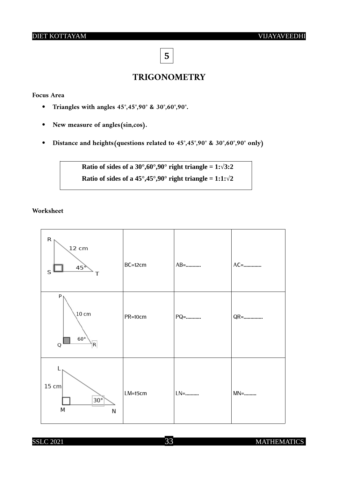**5**

## **TRIGONOMETRY**

#### **Focus Area**

- **Triangles with angles 45°,45°,90° & 30°,60°,90°.**
- **New measure of angles(sin,cos).**
- **Distance and heights(questions related to 45°,45°,90° & 30°,60°,90° only)**

**Ratio of sides of a 30°,60°,90° right triangle = 1:√3:2 Ratio of sides of a 45°,45°,90° right triangle = 1:1:** $\sqrt{2}$ 

#### **Worksheet**

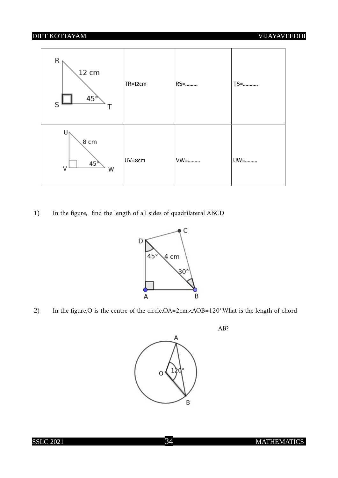

1) In the figure, find the length of all sides of quadrilateral ABCD



2) In the figure,O is the centre of the circle.OA=2cm,<AOB=120°.What is the length of chord

AB?

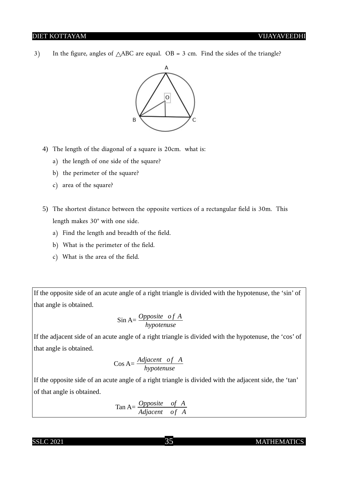3) In the figure, angles of  $\triangle$ ABC are equal. OB = 3 cm. Find the sides of the triangle?



- 4) The length of the diagonal of a square is 20cm. what is:
	- a) the length of one side of the square?
	- b) the perimeter of the square?
	- c) area of the square?
- 5) The shortest distance between the opposite vertices of a rectangular field is 30m. This length makes 30**°** with one side.
	- a) Find the length and breadth of the field.
	- b) What is the perimeter of the field.
	- c) What is the area of the field.

If the opposite side of an acute angle of a right triangle is divided with the hypotenuse, the 'sin' of that angle is obtained.

$$
\sin A = \frac{Opposite \text{ of } A}{hypotenuse}
$$

If the adjacent side of an acute angle of a right triangle is divided with the hypotenuse, the 'cos' of that angle is obtained.

$$
Cos A = \frac{Adjacent \space of \space A}{hypotenuse}
$$

If the opposite side of an acute angle of a right triangle is divided with the adjacent side, the 'tan' of that angle is obtained.

$$
Tan A = \frac{Opposite \quad of \quad A}{Adjacent \quad of \quad A}
$$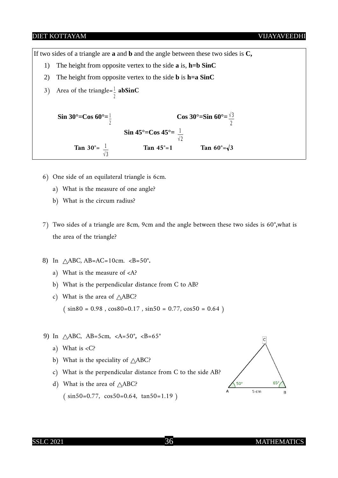If two sides of a triangle are **a** and **b** and the angle between these two sides is **C,**

- 1) The height from opposite vertex to the side **a** is, **h=b SinC**
- 2) The height from opposite vertex to the side **b** is **h=a SinC**
- 3) Area of the triangle= $\frac{1}{2}$  **abSinC**

**Sin 30°=Cos 60°=** $\frac{1}{2}$ 2  **Cos 30°=Sin 60°**= $\frac{\sqrt{3}}{2}$ 2 **Sin 45°=Cos 45°=** $\frac{1}{2}$ *√* 2 **Tan 30°** =  $\frac{1}{\sqrt{3}}$ Tan  $45^{\circ} = 1$  Tan  $60^{\circ} = \sqrt{3}$ 

- 6) One side of an equilateral triangle is 6cm.
	- a) What is the measure of one angle?
	- b) What is the circum radius?
- 7) Two sides of a triangle are 8cm, 9cm and the angle between these two sides is 60**°,**what is the area of the triangle?
- 8) In ABC, AB=AC=10cm. <B=50**°.**
	- a) What is the measure of <A?
	- b) What is the perpendicular distance from C to AB?
	- c) What is the area of  $\triangle$ ABC?

 $(\sin 80 = 0.98, \cos 80 = 0.17, \sin 50 = 0.77, \cos 50 = 0.64)$ 

- 9) In ABC, AB=5cm, <A=50**°,** <B=65**°**
	- a) What is <C?
	- b) What is the speciality of  $\triangle ABC$ ?
	- c) What is the perpendicular distance from C to the side AB?
	- d) What is the area of  $\triangle$ ABC?  $(\sin 50=0.77, \cos 50=0.64, \tan 50=1.19)$

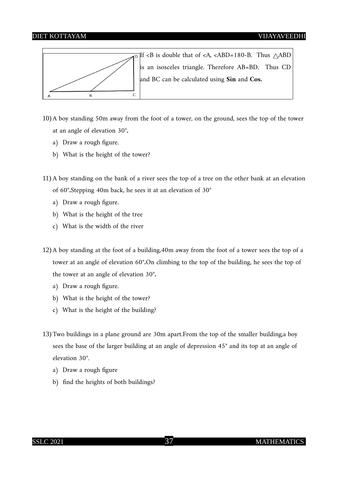

- 10) A boy standing 50m away from the foot of a tower, on the ground, sees the top of the tower at an angle of elevation 30**°.**
	- a) Draw a rough figure.
	- b) What is the height of the tower?
- 11) A boy standing on the bank of a river sees the top of a tree on the other bank at an elevation of 60**°.**Stepping 40m back, he sees it at an elevation of 30**°**
	- a) Draw a rough figure.
	- b) What is the height of the tree
	- c) What is the width of the river
- 12) A boy standing at the foot of a building,40m away from the foot of a tower sees the top of a tower at an angle of elevation 60**°.**On climbing to the top of the building, he sees the top of the tower at an angle of elevation 30**°.**
	- a) Draw a rough figure.
	- b) What is the height of the tower?
	- c) What is the height of the building?
- 13) Two buildings in a plane ground are 30m apart.From the top of the smaller building,a boy sees the base of the larger building at an angle of depression 45**°** and its top at an angle of elevation 30**°**.
	- a) Draw a rough figure
	- b) find the heights of both buildings?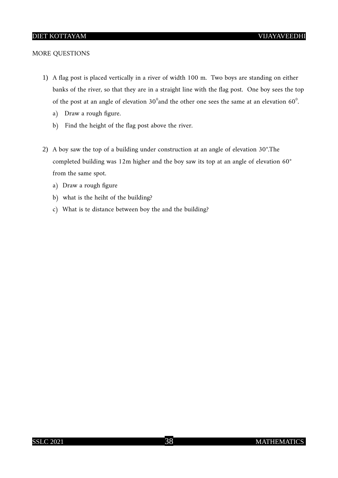#### MORE QUESTIONS

- 1) A flag post is placed vertically in a river of width 100 m. Two boys are standing on either banks of the river, so that they are in a straight line with the flag post. One boy sees the top of the post at an angle of elevation 30 $^{\circ}$ and the other one sees the same at an elevation 60 $^{\circ}$ .
	- a) Draw a rough figure.
	- b) Find the height of the flag post above the river.
- 2) A boy saw the top of a building under construction at an angle of elevation 30**°**.The completed building was 12m higher and the boy saw its top at an angle of elevation 60**°**  from the same spot.
	- a) Draw a rough figure
	- b) what is the heiht of the building?
	- c) What is te distance between boy the and the building?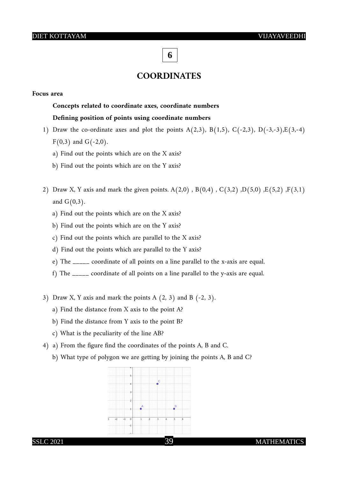## **6**

#### **COORDINATES**

#### **Focus area**

#### **Concepts related to coordinate axes, coordinate numbers**

#### **Defining position of points using coordinate numbers**

- 1) Draw the co-ordinate axes and plot the points A(2,3), B(1,5), C(-2,3), D(-3,-3), E(3,-4)  $F(0,3)$  and  $G(-2,0)$ .
	- a) Find out the points which are on the X axis?
	- b) Find out the points which are on the Y axis?
- 2) Draw X, Y axis and mark the given points.  $A(2,0)$ ,  $B(0,4)$ ,  $C(3,2)$ ,  $D(5,0)$ ,  $E(5,2)$ ,  $F(3,1)$ and  $G(0,3)$ .
	- a) Find out the points which are on the X axis?
	- b) Find out the points which are on the Y axis?
	- c) Find out the points which are parallel to the X axis?
	- d) Find out the points which are parallel to the Y axis?
	- e) The \_\_\_\_\_ coordinate of all points on a line parallel to the x-axis are equal.
	- f) The \_\_\_\_\_ coordinate of all points on a line parallel to the y-axis are equal.
- 3) Draw X, Y axis and mark the points A  $(2, 3)$  and B  $(-2, 3)$ .
	- a) Find the distance from X axis to the point A?
	- b) Find the distance from Y axis to the point B?
	- c) What is the peculiarity of the line AB?
- 4) a) From the figure find the coordinates of the points A, B and C.
	- b) What type of polygon we are getting by joining the points A, B and C?

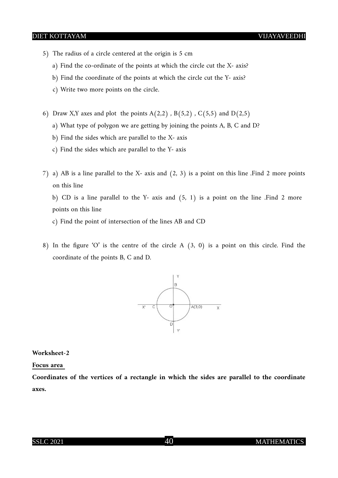- 5) The radius of a circle centered at the origin is 5 cm
	- a) Find the co-ordinate of the points at which the circle cut the X- axis?
	- b) Find the coordinate of the points at which the circle cut the Y- axis?
	- c) Write two more points on the circle.
- 6) Draw X,Y axes and plot the points  $A(2,2)$ ,  $B(5,2)$ ,  $C(5,5)$  and  $D(2,5)$ 
	- a) What type of polygon we are getting by joining the points A, B, C and D?
	- b) Find the sides which are parallel to the X- axis
	- c) Find the sides which are parallel to the Y- axis
- 7) a) AB is a line parallel to the X- axis and (2, 3) is a point on this line .Find 2 more points on this line

 b) CD is a line parallel to the Y- axis and (5, 1) is a point on the line .Find 2 more points on this line

c) Find the point of intersection of the lines AB and CD

8) In the figure 'O' is the centre of the circle A (3, 0) is a point on this circle. Find the coordinate of the points B, C and D.



**Worksheet-2**

#### **Focus area**

**Coordinates of the vertices of a rectangle in which the sides are parallel to the coordinate axes.**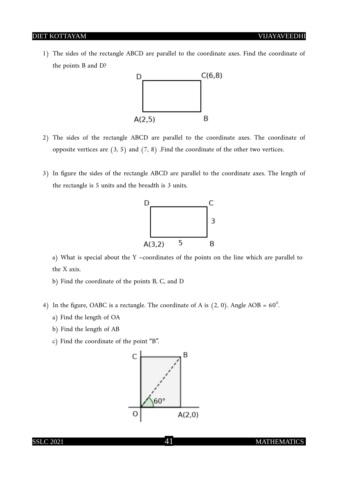1) The sides of the rectangle ABCD are parallel to the coordinate axes. Find the coordinate of the points B and D?



- 2) The sides of the rectangle ABCD are parallel to the coordinate axes. The coordinate of opposite vertices are  $(3, 5)$  and  $(7, 8)$ . Find the coordinate of the other two vertices.
- 3) In figure the sides of the rectangle ABCD are parallel to the coordinate axes. The length of the rectangle is 5 units and the breadth is 3 units.



a) What is special about the Y –coordinates of the points on the line which are parallel to the X axis.

- b) Find the coordinate of the points B, C, and D
- 4) In the figure, OABC is a rectangle. The coordinate of A is  $(2, 0)$ . Angle AOB =  $60^{\circ}$ .
	- a) Find the length of OA
	- b) Find the length of AB
	- c) Find the coordinate of the point "B".



#### SSLC 2021 41 MATHEMATICS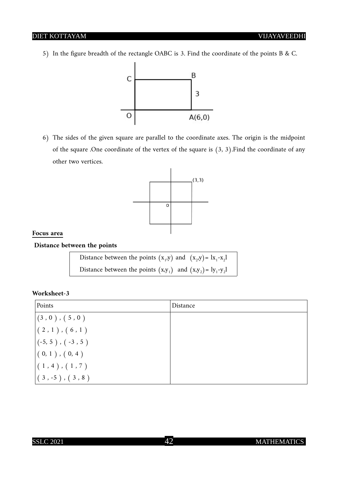5) In the figure breadth of the rectangle OABC is 3. Find the coordinate of the points B & C.



6) The sides of the given square are parallel to the coordinate axes. The origin is the midpoint of the square .One coordinate of the vertex of the square is (3, 3).Find the coordinate of any other two vertices.



#### **Focus area**

#### **Distance between the points**

| Distance between the points $(x_1,y)$ and $(x_2,y) =  x_1-x_2 $   |  |
|-------------------------------------------------------------------|--|
| Distance between the points $(x,y_1)$ and $(x,y_2) = 1y_1 - y_21$ |  |

| Points                       | Distance |
|------------------------------|----------|
| $\vert$ $(3, 0)$ , $(5, 0)$  |          |
| $(2,1)$ , $(6,1)$            |          |
| $\vert(-5, 5), (-3, 5)\vert$ |          |
| $(0, 1)$ , $(0, 4)$          |          |
| (1, 4), (1, 7)               |          |
| $(3, -5)$ , $(3, 8)$         |          |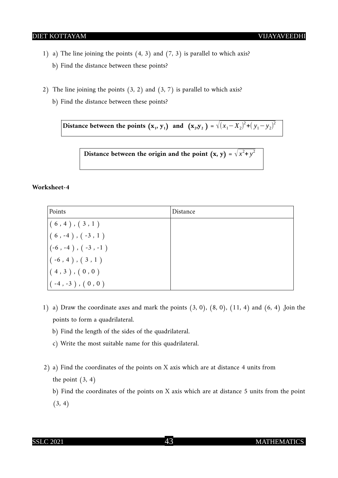- 1) a) The line joining the points (4, 3) and (7, 3) is parallel to which axis? b) Find the distance between these points?
- 2) The line joining the points  $(3, 2)$  and  $(3, 7)$  is parallel to which axis?
	- b) Find the distance between these points?

Distance between the points  $(\mathbf{x}_1, \mathbf{y}_1)$  and  $(\mathbf{x}_2, \mathbf{y}_2) = \sqrt{(x_1 - X_2)^2 + (y_1 - y_2)^2}$ 

Distance between the origin and the point  $(x, y) = \sqrt{x^2 + y^2}$ 

#### **Worksheet-4**

| Points                           | Distance |
|----------------------------------|----------|
| (6, 4), (3, 1)                   |          |
| $(6, -4), (-3, 1)$               |          |
| $\vert (-6, -4), (-3, -1) \vert$ |          |
| $( -6, 4), ( 3, 1)$              |          |
| $(4,3)$ , $(0,0)$                |          |
| $( -4, -3)$ , $( 0, 0 )$         |          |

- 1) a) Draw the coordinate axes and mark the points  $(3, 0)$ ,  $(8, 0)$ ,  $(11, 4)$  and  $(6, 4)$ . Join the points to form a quadrilateral.
	- b) Find the length of the sides of the quadrilateral.
	- c) Write the most suitable name for this quadrilateral.
- 2) a) Find the coordinates of the points on X axis which are at distance 4 units from the point  $(3, 4)$

b) Find the coordinates of the points on X axis which are at distance 5 units from the point  $(3, 4)$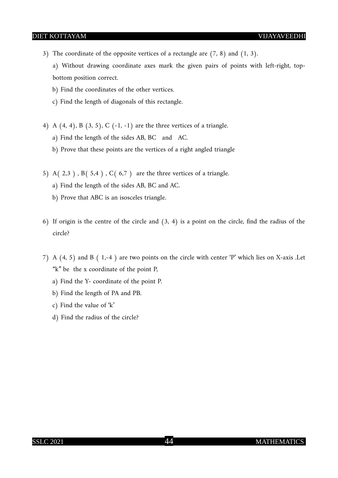3) The coordinate of the opposite vertices of a rectangle are  $(7, 8)$  and  $(1, 3)$ .

a) Without drawing coordinate axes mark the given pairs of points with left-right, topbottom position correct.

- b) Find the coordinates of the other vertices.
- c) Find the length of diagonals of this rectangle.
- 4) A  $(4, 4)$ , B  $(3, 5)$ , C  $(-1, -1)$  are the three vertices of a triangle.
	- a) Find the length of the sides AB, BC and AC.
	- b) Prove that these points are the vertices of a right angled triangle
- 5) A( $2,3$ ), B( $5,4$ ), C( $6,7$ ) are the three vertices of a triangle.
	- a) Find the length of the sides AB, BC and AC.
	- b) Prove that ABC is an isosceles triangle.
- 6) If origin is the centre of the circle and (3, 4) is a point on the circle, find the radius of the circle?
- 7) A (4, 5) and B ( 1,-4 ) are two points on the circle with center 'P' which lies on X-axis .Let "k" be the x coordinate of the point P,
	- a) Find the Y- coordinate of the point P.
	- b) Find the length of PA and PB.
	- c) Find the value of 'k'
	- d) Find the radius of the circle?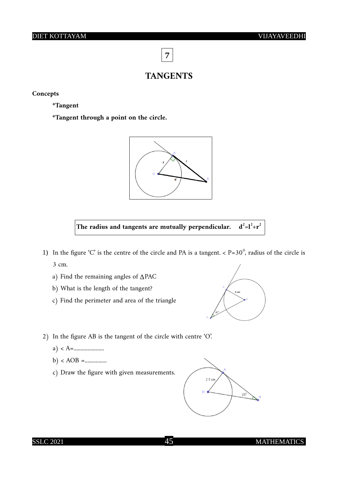**7**

#### **TANGENTS**

#### **Concepts**

**\*Tangent**

**\*Tangent through a point on the circle.**





- 1) In the figure 'C' is the centre of the circle and PA is a tangent.  $\langle P=30^\circ, P=30^\circ \rangle$  radius of the circle is 3 cm.
	- a) Find the remaining angles of *∆*PAC
	- b) What is the length of the tangent?
	- c) Find the perimeter and area of the triangle



- 2) In the figure AB is the tangent of the circle with centre 'O'.
	- a) < A=......................
	- b) < AOB =................
	- c) Draw the figure with given measurements.



#### SSLC 2021 45 MATHEMATICS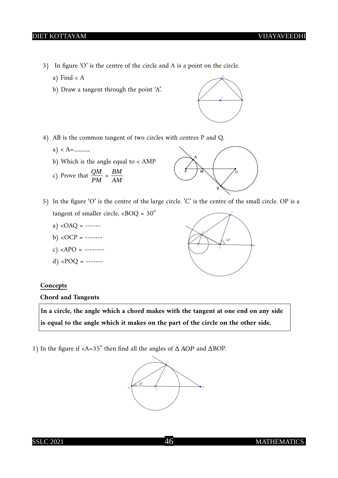- 3) In figure 'O' is the centre of the circle and A is a point on the circle.
	- a) Find  $< A$
	- b) Draw a tangent through the point 'A'.



- 4) AB is the common tangent of two circles with centres P and Q.
	- a) < A=............
	- b) Which is the angle equal to < AMP
	- c) Prove that  $\frac{QM}{PM}$  = *BM AM*



- 5) In the figure 'O' is the centre of the large circle. 'C' is the centre of the small circle. OP is a tangent of smaller circle,  $\langle BOQ = 50^\circ$ 
	- a)  $\langle$ OAQ = ------
	- b)  $\langle$ OCP = -------
	- c) < $APO =$  --------
	- d) < $POQ =$  -------

#### **Concepts**

 **Chord and Tangents**

**In a circle, the angle which a chord makes with the tangent at one end on any side is equal to the angle which it makes on the part of the circle on the other side.**

1) In the figure if <A=35<sup>0</sup> then find all the angles of *∆ AOP* and *∆*BOP.

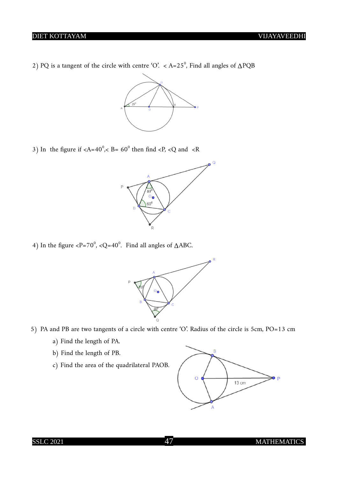2) PQ is a tangent of the circle with centre 'O'. < A=25<sup>°</sup>, Find all angles of  $\triangle PQB$ 



3) In the figure if  $\langle A=40^\circ, \langle B=60^\circ \text{ then find } \langle P, \langle Q \text{ and } \langle R \rangle \rangle$ 



4) In the figure <P=70<sup>°</sup>, <Q=40<sup>°</sup>. Find all angles of ∆ABC.



- 5) PA and PB are two tangents of a circle with centre 'O'. Radius of the circle is 5cm, PO=13 cm
	- a) Find the length of PA.
	- b) Find the length of PB.
	- c) Find the area of the quadrilateral PAOB.

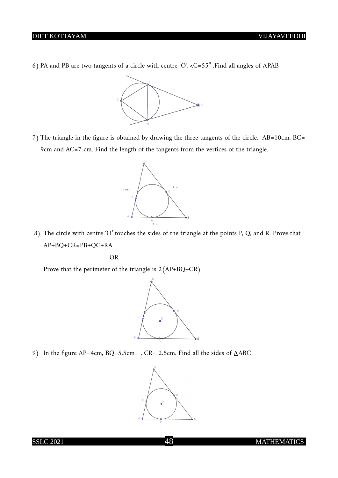6) PA and PB are two tangents of a circle with centre 'O', <C=55<sup>0</sup> .Find all angles of *∆*PAB



7) The triangle in the figure is obtained by drawing the three tangents of the circle. AB=10cm, BC= 9cm and AC=7 cm. Find the length of the tangents from the vertices of the triangle.



8) The circle with centre 'O' touches the sides of the triangle at the points P, Q, and R. Prove that AP+BQ+CR=PB+QC+RA

**OR** STREET STREET AND THE STREET STREET STREET AND THE STREET STREET STREET AND THE STREET STREET STREET STREET AND THE STREET STREET AND THE STREET AND THE STREET AND THE STREET AND THE STREET AND THE STREET AND THE STRE

Prove that the perimeter of the triangle is 2(AP+BQ+CR)



9) In the figure AP=4cm, BQ=5.5cm , CR= 2.5cm. Find all the sides of *∆*ABC

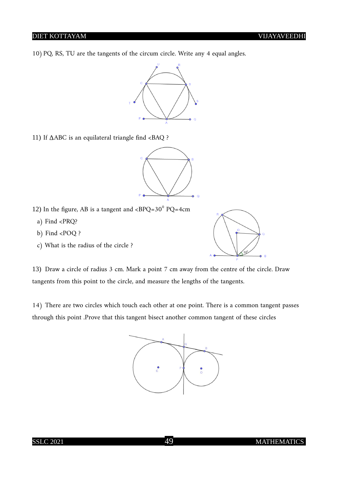10)PQ, RS, TU are the tangents of the circum circle. Write any 4 equal angles.



11) If *∆*ABC is an equilateral triangle find <BAQ ?



- 12) In the figure, AB is a tangent and  $\langle BPQ=30^\circ PQ=4cm$ 
	- a) Find <PRQ?
	- b) Find <POQ ?
	- c) What is the radius of the circle ?



13) Draw a circle of radius 3 cm. Mark a point 7 cm away from the centre of the circle. Draw tangents from this point to the circle, and measure the lengths of the tangents.

14) There are two circles which touch each other at one point. There is a common tangent passes through this point .Prove that this tangent bisect another common tangent of these circles

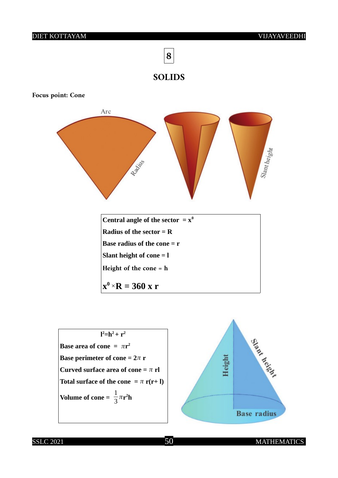



**Focus point: Cone**





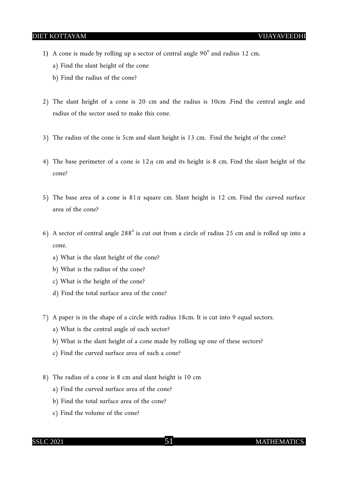- 1) A cone is made by rolling up a sector of central angle  $90^{\circ}$  and radius 12 cm.
	- a) Find the slant height of the cone
	- b) Find the radius of the cone?
- 2) The slant height of a cone is 20 cm and the radius is 10cm .Find the central angle and radius of the sector used to make this cone.
- 3) The radius of the cone is 5cm and slant height is 13 cm. Find the height of the cone?
- 4) The base perimeter of a cone is  $12\pi$  cm and its height is 8 cm. Find the slant height of the cone?
- 5) The base area of a cone is  $81\pi$  square cm. Slant height is 12 cm. Find the curved surface area of the cone?
- 6) A sector of central angle  $288^{\circ}$  is cut out from a circle of radius 25 cm and is rolled up into a cone.
	- a) What is the slant height of the cone?
	- b) What is the radius of the cone?
	- c) What is the height of the cone?
	- d) Find the total surface area of the cone?
- 7) A paper is in the shape of a circle with radius 18cm. It is cut into 9 equal sectors.
	- a) What is the central angle of each sector?
	- b) What is the slant height of a cone made by rolling up one of these sectors?
	- c) Find the curved surface area of such a cone?
- 8) The radius of a cone is 8 cm and slant height is 10 cm
	- a) Find the curved surface area of the cone?
	- b) Find the total surface area of the cone?
	- c) Find the volume of the cone?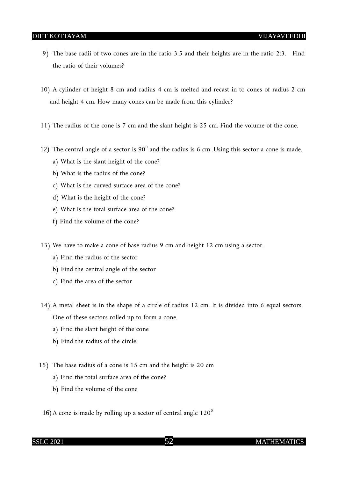- 9) The base radii of two cones are in the ratio 3:5 and their heights are in the ratio 2:3. Find the ratio of their volumes?
- 10) A cylinder of height 8 cm and radius 4 cm is melted and recast in to cones of radius 2 cm and height 4 cm. How many cones can be made from this cylinder?
- 11) The radius of the cone is 7 cm and the slant height is 25 cm. Find the volume of the cone.
- 12) The central angle of a sector is  $90^{\circ}$  and the radius is 6 cm. Using this sector a cone is made.
	- a) What is the slant height of the cone?
	- b) What is the radius of the cone?
	- c) What is the curved surface area of the cone?
	- d) What is the height of the cone?
	- e) What is the total surface area of the cone?
	- f) Find the volume of the cone?
- 13) We have to make a cone of base radius 9 cm and height 12 cm using a sector.
	- a) Find the radius of the sector
	- b) Find the central angle of the sector
	- c) Find the area of the sector
- 14) A metal sheet is in the shape of a circle of radius 12 cm. It is divided into 6 equal sectors. One of these sectors rolled up to form a cone.
	- a) Find the slant height of the cone
	- b) Find the radius of the circle.
- 15) The base radius of a cone is 15 cm and the height is 20 cm
	- a) Find the total surface area of the cone?
	- b) Find the volume of the cone
- 16) A cone is made by rolling up a sector of central angle  $120^{\circ}$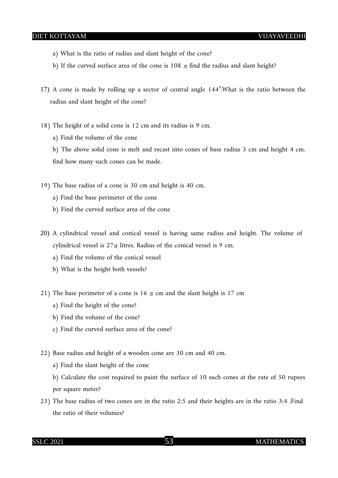- a) What is the ratio of radius and slant height of the cone?
- b) If the curved surface area of the cone is 108  $\pi$  find the radius and slant height?
- 17) A cone is made by rolling up a sector of central angle  $144^{\circ}$ . What is the ratio between the radius and slant height of the cone?
- 18) The height of a solid cone is 12 cm and its radius is 9 cm.
	- a) Find the volume of the cone

b) The above solid cone is melt and recast into cones of base radius 3 cm and height 4 cm. find how many such cones can be made.

- 19) The base radius of a cone is 30 cm and height is 40 cm.
	- a) Find the base perimeter of the cone
	- b) Find the curved surface area of the cone
- 20) A cylindrical vessel and conical vessel is having same radius and height. The volume of cylindrical vessel is  $27\pi$  litres. Radius of the conical vessel is 9 cm.
	- a) Find the volume of the conical vessel
	- b) What is the height both vessels?
- 21) The base perimeter of a cone is 16  $\pi$  cm and the slant height is 17 cm
	- a) Find the height of the cone?
	- b) Find the volume of the cone?
	- c) Find the curved surface area of the cone?
- 22) Base radius and height of a wooden cone are 30 cm and 40 cm.
	- a) Find the slant height of the cone
	- b) Calculate the cost required to paint the surface of 10 such cones at the rate of 50 rupees per square meter?
- 23) The base radius of two cones are in the ratio 2:5 and their heights are in the ratio 3:4 .Find the ratio of their volumes?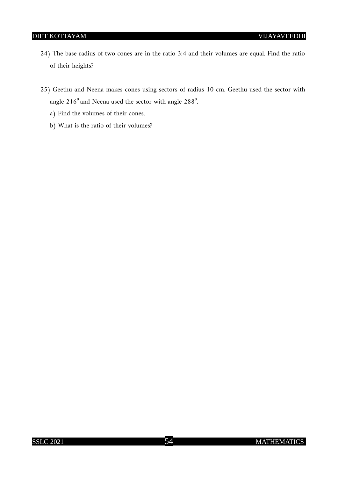- 24) The base radius of two cones are in the ratio 3:4 and their volumes are equal. Find the ratio of their heights?
- 25) Geethu and Neena makes cones using sectors of radius 10 cm. Geethu used the sector with angle 216 $^{\rm 0}$  and Neena used the sector with angle 288 $^{\rm 0}$ .
	- a) Find the volumes of their cones.
	- b) What is the ratio of their volumes?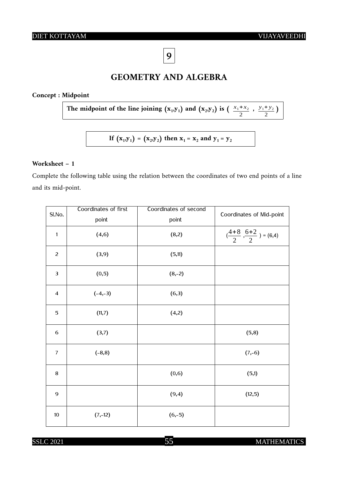**9**

## **GEOMETRY AND ALGEBRA**

#### **Concept : Midpoint**

The midpoint of the line joining  $(x_1,y_1)$  and  $(x_2,y_2)$  is  $\left(\frac{x_1+x_2}{2}\right)$ ,  $\frac{y_1 + y_2}{a_1}$  $\frac{+y_2}{2}$ 

**If**  $(X_1, Y_1) = (X_2, Y_2)$  then  $X_1 = X_2$  and  $Y_1 = Y_2$ 

#### **Worksheet – 1**

Complete the following table using the relation between the coordinates of two end points of a line and its mid-point.

| SI.No.                  | Coordinates of first | Coordinates of second | Coordinates of Mid-point                |
|-------------------------|----------------------|-----------------------|-----------------------------------------|
|                         | point                | point                 |                                         |
| $\mathbf{1}$            | (4, 6)               | (8,2)                 | $(\frac{4+8}{2},\frac{6+2}{2})$ = (6,4) |
| $\overline{c}$          | (3,9)                | (5,11)                |                                         |
| $\overline{\mathbf{3}}$ | (0,5)                | $(8,-2)$              |                                         |
| $\overline{\mathbf{4}}$ | $(-4,-3)$            | (6,3)                 |                                         |
| 5                       | (11,7)               | (4,2)                 |                                         |
| 6                       | (3,7)                |                       | (5,8)                                   |
| $\overline{7}$          | $(-8, 8)$            |                       | $(7,-6)$                                |
| $\bf 8$                 |                      | (0,6)                 | (5,1)                                   |
| 9                       |                      | (9,4)                 | (12,5)                                  |
| $10\,$                  | $(7,-12)$            | $(6,-5)$              |                                         |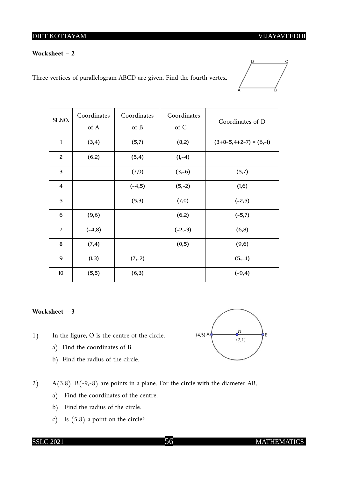#### **Worksheet – 2**

Three vertices of parallelogram ABCD are given. Find the fourth vertex.



| SL.NO.         | Coordinates<br>of A | Coordinates<br>of B | Coordinates<br>of C | Coordinates of D         |
|----------------|---------------------|---------------------|---------------------|--------------------------|
| 1              | (3,4)               | (5,7)               | (8,2)               | $(3+8-5,4+2-7) = (6,-1)$ |
| 2              | (6,2)               | (5,4)               | $(1,-4)$            |                          |
| $\mathbf{3}$   |                     | (7,9)               | $(3,-6)$            | (5,7)                    |
| $\overline{4}$ |                     | $(-4,5)$            | $(5,-2)$            | (1,6)                    |
| 5              |                     | (5,3)               | (7,0)               | $(-2,5)$                 |
| 6              | (9,6)               |                     | (6,2)               | $(-5,7)$                 |
| $\overline{7}$ | $(-4, 8)$           |                     | $(-2,-3)$           | (6,8)                    |
| 8              | (7,4)               |                     | (0,5)               | (9,6)                    |
| 9              | (1,3)               | $(7,-2)$            |                     | $(5,-4)$                 |
| 10             | (5,5)               | (6,3)               |                     | $(-9,4)$                 |

#### **Worksheet – 3**

- 1) In the figure, O is the centre of the circle.
	- a) Find the coordinates of B.
	- b) Find the radius of the circle.



- a) Find the coordinates of the centre.
- b) Find the radius of the circle.
- c) Is (5,8) a point on the circle?

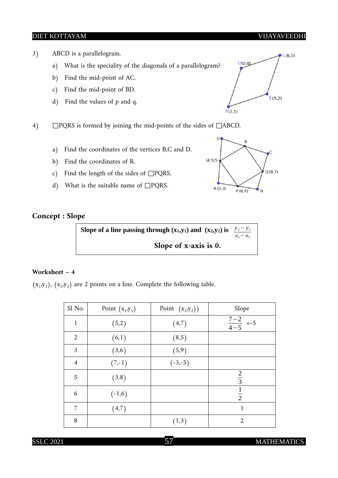- 3) ABCD is a parallelogram.
	- a) What is the speciality of the diagonals of a parallelogram?
	- b) Find the mid-point of AC.
	- c) Find the mid-point of BD.
	- d) Find the values of p and q.
- 4) □PQRS is formed by joining the mid-points of the sides of □ABCD.
	- a) Find the coordinates of the vertices B,C and D.
	- b) Find the coordinates of R.
	- c) Find the length of the sides of  $\square$ PQRS.
	- d) What is the suitable name of  $\square$ PQRS.



#### **Concept : Slope**



#### **Worksheet – 4**

 $(x_1,y_1)$ ,  $(x_2,y_2)$  are 2 points on a line. Complete the following table.

| Sl No.         | Point $(x_1,y_1)$ | Point $(x_2,y_2)$ | Slope                            |
|----------------|-------------------|-------------------|----------------------------------|
| $\mathbf 1$    | (5,2)             | (4,7)             | $\frac{7-2}{4-5}$ =-5            |
| $\overline{2}$ | (6,1)             | (8,5)             |                                  |
| 3              | (3,6)             | (5,9)             |                                  |
| $\overline{4}$ | $(7,-1)$          | $(-3,-5)$         |                                  |
| 5              | (3,8)             |                   | $rac{2}{3}$                      |
| 6              | $(-1,6)$          |                   | $\overline{1}$<br>$\overline{2}$ |
| 7              | (4,7)             |                   | 1                                |
| 8              |                   | (1,3)             | 2                                |

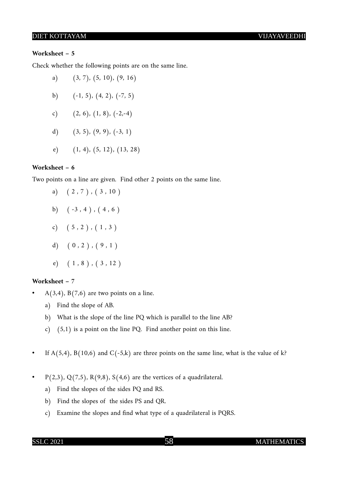#### **Worksheet – 5**

Check whether the following points are on the same line.

- a)  $(3, 7)$ ,  $(5, 10)$ ,  $(9, 16)$ b)  $(-1, 5), (4, 2), (-7, 5)$ c)  $(2, 6), (1, 8), (-2,-4)$
- d)  $(3, 5), (9, 9), (-3, 1)$
- e) (1, 4), (5, 12), (13, 28)

#### **Worksheet – 6**

Two points on a line are given. Find other 2 points on the same line.

- a)  $(2, 7)$ ,  $(3, 10)$
- b)  $(-3, 4)$ ,  $(4, 6)$
- c)  $(5, 2)$ ,  $(1, 3)$
- d)  $( 0, 2 )$ ,  $( 9, 1 )$
- e)  $(1, 8)$ ,  $(3, 12)$

#### **Worksheet – 7**

- $A(3,4)$ ,  $B(7,6)$  are two points on a line.
	- a) Find the slope of AB.
	- b) What is the slope of the line PQ which is parallel to the line AB?
	- c) (5,1) is a point on the line PQ. Find another point on this line.
- If  $A(5,4)$ ,  $B(10,6)$  and  $C(-5,k)$  are three points on the same line, what is the value of k?
- $P(2,3), Q(7,5), R(9,8), S(4,6)$  are the vertices of a quadrilateral.
	- a) Find the slopes of the sides PQ and RS.
	- b) Find the slopes of the sides PS and QR.
	- c) Examine the slopes and find what type of a quadrilateral is PQRS.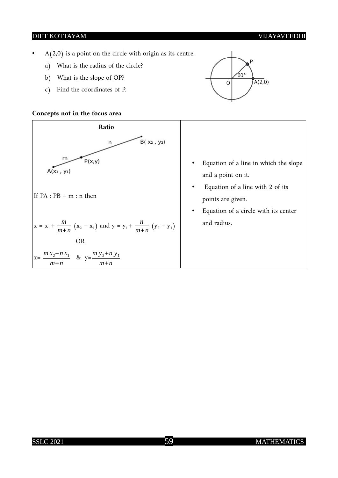- $A(2,0)$  is a point on the circle with origin as its centre.
	- a) What is the radius of the circle?
	- b) What is the slope of OP?
	- c) Find the coordinates of P.

#### **Concepts not in the focus area**





- Equation of a line in which the slope and a point on it.
- Equation of a line with 2 of its points are given.
- Equation of a circle with its center and radius.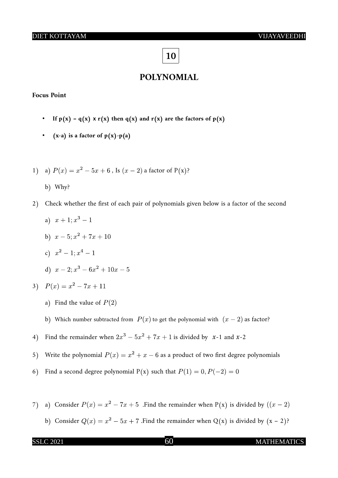## **10**

#### **POLYNOMIAL**

#### **Focus Point**

- If  $p(x) = q(x) \times r(x)$  then  $q(x)$  and  $r(x)$  are the factors of  $p(x)$
- $(x-a)$  is a factor of  $p(x)-p(a)$
- 1) a)  $P(x) = x^2 5x + 6$ , Is  $(x 2)$  a factor of P(x)?
	- b) Why?
- 2) Check whether the first of each pair of polynomials given below is a factor of the second
	- a)  $x+1$ ;  $x^3-1$ b)  $x-5$ ;  $x^2 + 7x + 10$ c)  $x^2-1$ ;  $x^4-1$ d)  $x-2$ ;  $x^3-6x^2+10x-5$

3) 
$$
P(x) = x^2 - 7x + 11
$$

- a) Find the value of  $P(2)$
- b) Which number subtracted from  $P(x)$  to get the polynomial with  $(x 2)$  as factor?
- 4) Find the remainder when  $2x^3 5x^2 + 7x + 1$  is divided by x-1 and x-2
- 5) Write the polynomial  $P(x) = x^2 + x 6$  as a product of two first degree polynomials
- 6) Find a second degree polynomial P(x) such that  $P(1) = 0, P(-2) = 0$
- 7) a) Consider  $P(x) = x^2 7x + 5$ . Find the remainder when P(x) is divided by  $((x 2)$ 
	- b) Consider  $Q(x) = x^2 5x + 7$ . Find the remainder when  $Q(x)$  is divided by  $(x 2)$ ?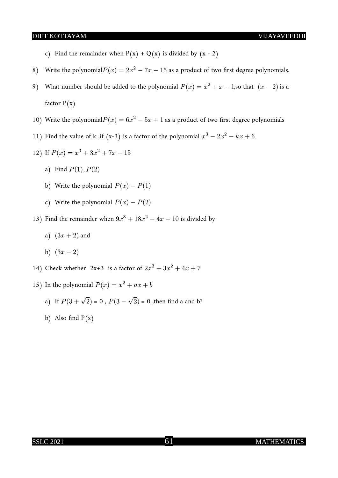- c) Find the remainder when  $P(x) + Q(x)$  is divided by  $(x 2)$
- 8) Write the polynomial  $P(x) = 2x^2 7x 15$  as a product of two first degree polynomials.
- 9) What number should be added to the polynomial  $P(x) = x^2 + x 1$ , so that  $(x 2)$  is a factor  $P(x)$
- 10) Write the polynomial  $P(x) = 6x^2 5x + 1$  as a product of two first degree polynomials
- 11) Find the value of k ,if (x-3) is a factor of the polynomial  $x^3 2x^2 kx + 6$ .

12) If 
$$
P(x) = x^3 + 3x^2 + 7x - 15
$$

- a) Find  $P(1)$ ,  $P(2)$
- b) Write the polynomial  $P(x) P(1)$
- c) Write the polynomial  $P(x) P(2)$

13) Find the remainder when  $9x^3 + 18x^2 - 4x - 10$  is divided by

- a)  $(3x + 2)$  and
- b)  $(3x-2)$
- 14) Check whether  $2x+3$  is a factor of  $2x^3 + 3x^2 + 4x + 7$
- 15) In the polynomial  $P(x) = x^2 + ax + b$ 
	- a) If  $P(3 + \sqrt{2}) = 0$ ,  $P(3 \sqrt{2}) = 0$ , then find a and b?
	- b) Also find  $P(x)$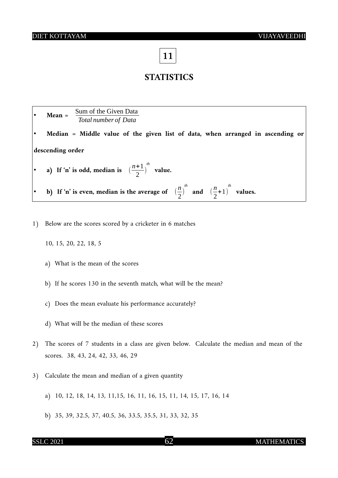**11**

## **STATISTICS**

|                                                                        | Sum of the Given Data<br>$Mean =$<br>Total number of Data                                                                 |  |  |  |
|------------------------------------------------------------------------|---------------------------------------------------------------------------------------------------------------------------|--|--|--|
|                                                                        | Median = Middle value of the given list of data, when arranged in ascending or                                            |  |  |  |
| descending order                                                       |                                                                                                                           |  |  |  |
| • a) If 'n' is odd, median is $\left(\frac{n+1}{2}\right)^{tn}$ value. |                                                                                                                           |  |  |  |
|                                                                        | b) If 'n' is even, median is the average of $\left(\frac{n}{2}\right)^{th}$ and $\left(\frac{n}{2}+1\right)^{th}$ values. |  |  |  |

- 1) Below are the scores scored by a cricketer in 6 matches
	- 10, 15, 20, 22, 18, 5
	- a) What is the mean of the scores
	- b) If he scores 130 in the seventh match, what will be the mean?
	- c) Does the mean evaluate his performance accurately?
	- d) What will be the median of these scores
- 2) The scores of 7 students in a class are given below. Calculate the median and mean of the scores. 38, 43, 24, 42, 33, 46, 29
- 3) Calculate the mean and median of a given quantity
	- a) 10, 12, 18, 14, 13, 11,15, 16, 11, 16, 15, 11, 14, 15, 17, 16, 14
	- b) 35, 39, 32.5, 37, 40.5, 36, 33.5, 35.5, 31, 33, 32, 35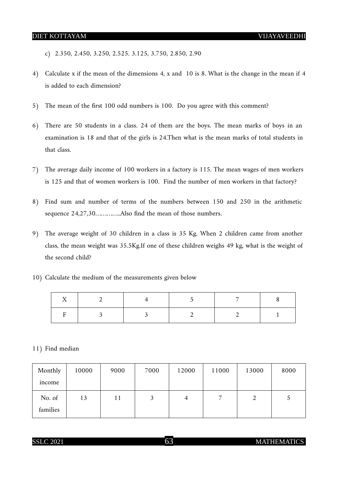- c) 2.350, 2.450, 3.250, 2.525. 3.125, 3.750, 2.850, 2.90
- 4) Calculate x if the mean of the dimensions 4, x and 10 is 8. What is the change in the mean if 4 is added to each dimension?
- 5) The mean of the first 100 odd numbers is 100. Do you agree with this comment?
- 6) There are 50 students in a class. 24 of them are the boys. The mean marks of boys in an examination is 18 and that of the girls is 24.Then what is the mean marks of total students in that class.
- 7) The average daily income of 100 workers in a factory is 115. The mean wages of men workers is 125 and that of women workers is 100. Find the number of men workers in that factory?
- 8) Find sum and number of terms of the numbers between 150 and 250 in the arithmetic sequence 24,27,30…………..Also find the mean of those numbers.
- 9) The average weight of 30 children in a class is 35 Kg. When 2 children came from another class, the mean weight was 35.5Kg.If one of these children weighs 49 kg, what is the weight of the second child?
- 10) Calculate the medium of the measurements given below

#### 11) Find median

| Monthly  | 10000 | 9000 | 7000 | 12000 | 11000 | 13000 | 8000 |
|----------|-------|------|------|-------|-------|-------|------|
| income   |       |      |      |       |       |       |      |
| No. of   | 13    | 11   | 3    | 4     | 7     |       | C    |
| families |       |      |      |       |       |       |      |